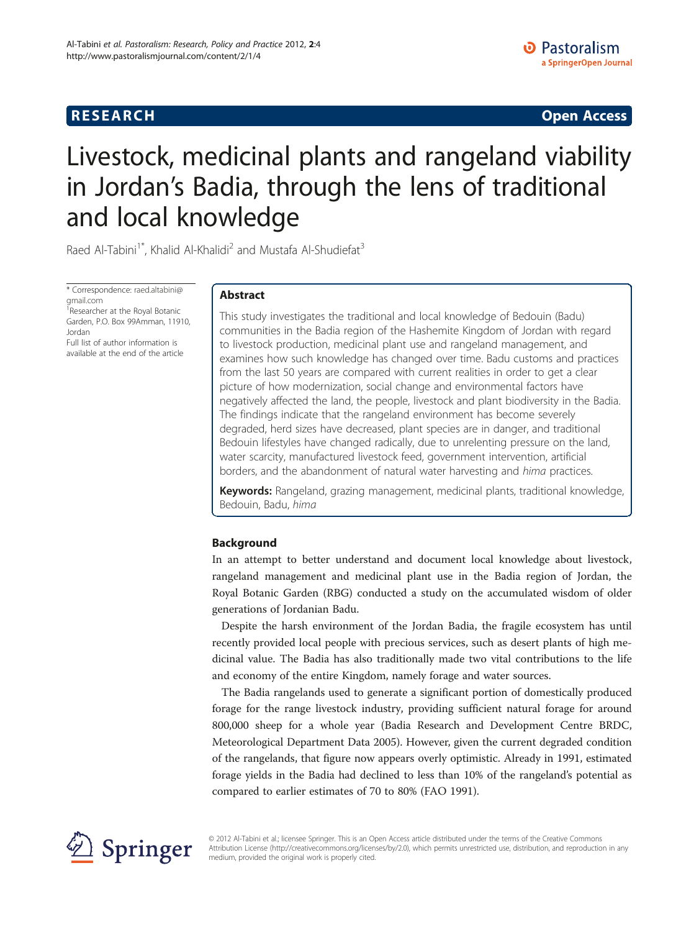# **RESEARCH CONSTRUCTED ACCESS**

# Livestock, medicinal plants and rangeland viability in Jordan's Badia, through the lens of traditional and local knowledge

Raed Al-Tabini<sup>1\*</sup>, Khalid Al-Khalidi<sup>2</sup> and Mustafa Al-Shudiefat<sup>3</sup>

\* Correspondence: [raed.altabini@](mailto:raed.altabini@gmail.com) [gmail.com](mailto:raed.altabini@gmail.com)

<sup>1</sup> Researcher at the Royal Botanic Garden, P.O. Box 99Amman, 11910, Jordan Full list of author information is

available at the end of the article

## Abstract

This study investigates the traditional and local knowledge of Bedouin (Badu) communities in the Badia region of the Hashemite Kingdom of Jordan with regard to livestock production, medicinal plant use and rangeland management, and examines how such knowledge has changed over time. Badu customs and practices from the last 50 years are compared with current realities in order to get a clear picture of how modernization, social change and environmental factors have negatively affected the land, the people, livestock and plant biodiversity in the Badia. The findings indicate that the rangeland environment has become severely degraded, herd sizes have decreased, plant species are in danger, and traditional Bedouin lifestyles have changed radically, due to unrelenting pressure on the land, water scarcity, manufactured livestock feed, government intervention, artificial borders, and the abandonment of natural water harvesting and hima practices.

Keywords: Rangeland, grazing management, medicinal plants, traditional knowledge, Bedouin, Badu, hima

# Background

In an attempt to better understand and document local knowledge about livestock, rangeland management and medicinal plant use in the Badia region of Jordan, the Royal Botanic Garden (RBG) conducted a study on the accumulated wisdom of older generations of Jordanian Badu.

Despite the harsh environment of the Jordan Badia, the fragile ecosystem has until recently provided local people with precious services, such as desert plants of high medicinal value. The Badia has also traditionally made two vital contributions to the life and economy of the entire Kingdom, namely forage and water sources.

The Badia rangelands used to generate a significant portion of domestically produced forage for the range livestock industry, providing sufficient natural forage for around 800,000 sheep for a whole year (Badia Research and Development Centre BRDC, Meteorological Department Data [2005\)](#page-15-0). However, given the current degraded condition of the rangelands, that figure now appears overly optimistic. Already in 1991, estimated forage yields in the Badia had declined to less than 10% of the rangeland's potential as compared to earlier estimates of 70 to 80% (FAO [1991](#page-15-0)).



© 2012 Al-Tabini et al.; licensee Springer. This is an Open Access article distributed under the terms of the Creative Commons Attribution License (http://creativecommons.org/licenses/by/2.0), which permits unrestricted use, distribution, and reproduction in any medium, provided the original work is properly cited.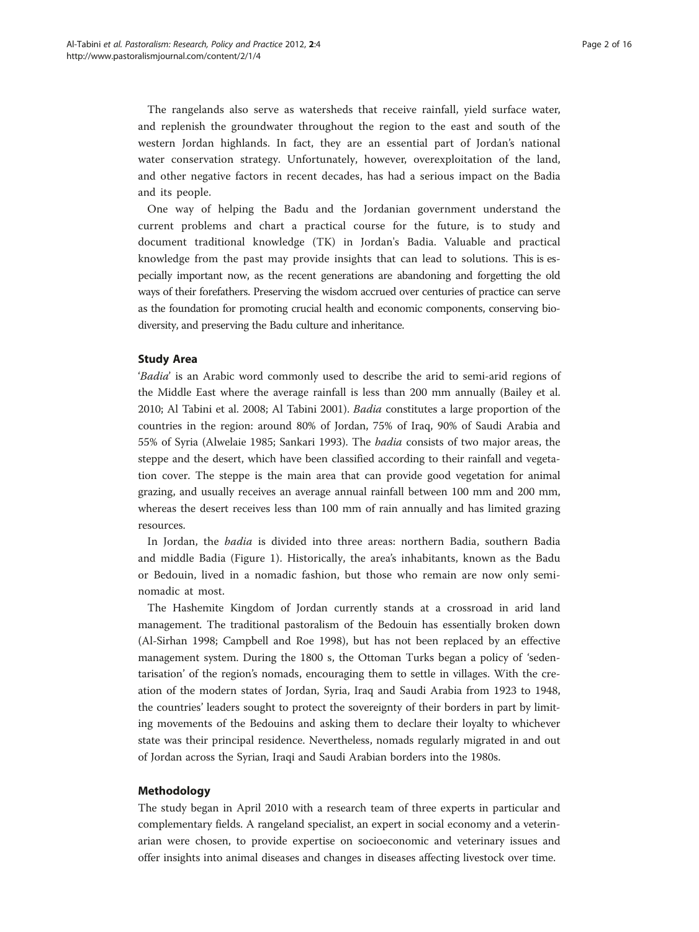The rangelands also serve as watersheds that receive rainfall, yield surface water, and replenish the groundwater throughout the region to the east and south of the western Jordan highlands. In fact, they are an essential part of Jordan's national water conservation strategy. Unfortunately, however, overexploitation of the land, and other negative factors in recent decades, has had a serious impact on the Badia and its people.

One way of helping the Badu and the Jordanian government understand the current problems and chart a practical course for the future, is to study and document traditional knowledge (TK) in Jordan's Badia. Valuable and practical knowledge from the past may provide insights that can lead to solutions. This is especially important now, as the recent generations are abandoning and forgetting the old ways of their forefathers. Preserving the wisdom accrued over centuries of practice can serve as the foundation for promoting crucial health and economic components, conserving biodiversity, and preserving the Badu culture and inheritance.

## Study Area

'Badia' is an Arabic word commonly used to describe the arid to semi-arid regions of the Middle East where the average rainfall is less than 200 mm annually (Bailey et al. [2010](#page-15-0); Al Tabini et al. 2008; Al Tabini 2001). Badia constitutes a large proportion of the countries in the region: around 80% of Jordan, 75% of Iraq, 90% of Saudi Arabia and 55% of Syria (Alwelaie [1985;](#page-15-0) Sankari [1993](#page-15-0)). The badia consists of two major areas, the steppe and the desert, which have been classified according to their rainfall and vegetation cover. The steppe is the main area that can provide good vegetation for animal grazing, and usually receives an average annual rainfall between 100 mm and 200 mm, whereas the desert receives less than 100 mm of rain annually and has limited grazing resources.

In Jordan, the badia is divided into three areas: northern Badia, southern Badia and middle Badia (Figure [1](#page-2-0)). Historically, the area's inhabitants, known as the Badu or Bedouin, lived in a nomadic fashion, but those who remain are now only seminomadic at most.

The Hashemite Kingdom of Jordan currently stands at a crossroad in arid land management. The traditional pastoralism of the Bedouin has essentially broken down (Al-Sirhan [1998;](#page-14-0) Campbell and Roe [1998\)](#page-15-0), but has not been replaced by an effective management system. During the 1800 s, the Ottoman Turks began a policy of 'sedentarisation' of the region's nomads, encouraging them to settle in villages. With the creation of the modern states of Jordan, Syria, Iraq and Saudi Arabia from 1923 to 1948, the countries' leaders sought to protect the sovereignty of their borders in part by limiting movements of the Bedouins and asking them to declare their loyalty to whichever state was their principal residence. Nevertheless, nomads regularly migrated in and out of Jordan across the Syrian, Iraqi and Saudi Arabian borders into the 1980s.

## Methodology

The study began in April 2010 with a research team of three experts in particular and complementary fields. A rangeland specialist, an expert in social economy and a veterinarian were chosen, to provide expertise on socioeconomic and veterinary issues and offer insights into animal diseases and changes in diseases affecting livestock over time.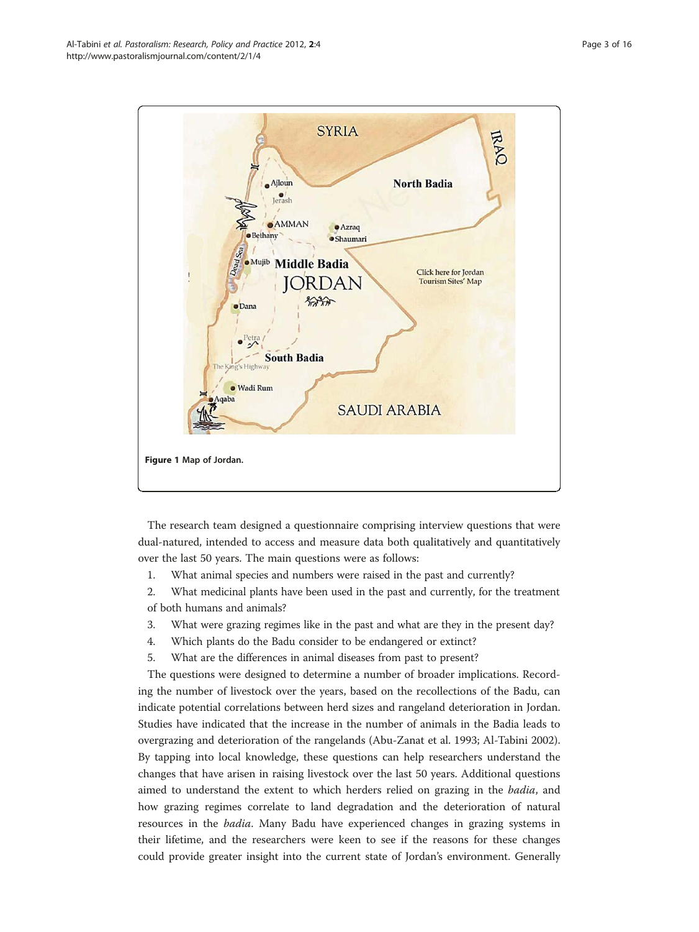<span id="page-2-0"></span>

The research team designed a questionnaire comprising interview questions that were dual-natured, intended to access and measure data both qualitatively and quantitatively over the last 50 years. The main questions were as follows:

- 1. What animal species and numbers were raised in the past and currently?
- 2. What medicinal plants have been used in the past and currently, for the treatment of both humans and animals?
- 3. What were grazing regimes like in the past and what are they in the present day?
- 4. Which plants do the Badu consider to be endangered or extinct?
- 5. What are the differences in animal diseases from past to present?

The questions were designed to determine a number of broader implications. Recording the number of livestock over the years, based on the recollections of the Badu, can indicate potential correlations between herd sizes and rangeland deterioration in Jordan. Studies have indicated that the increase in the number of animals in the Badia leads to overgrazing and deterioration of the rangelands (Abu-Zanat et al. [1993;](#page-14-0) Al-Tabini [2002](#page-15-0)). By tapping into local knowledge, these questions can help researchers understand the changes that have arisen in raising livestock over the last 50 years. Additional questions aimed to understand the extent to which herders relied on grazing in the badia, and how grazing regimes correlate to land degradation and the deterioration of natural resources in the badia. Many Badu have experienced changes in grazing systems in their lifetime, and the researchers were keen to see if the reasons for these changes could provide greater insight into the current state of Jordan's environment. Generally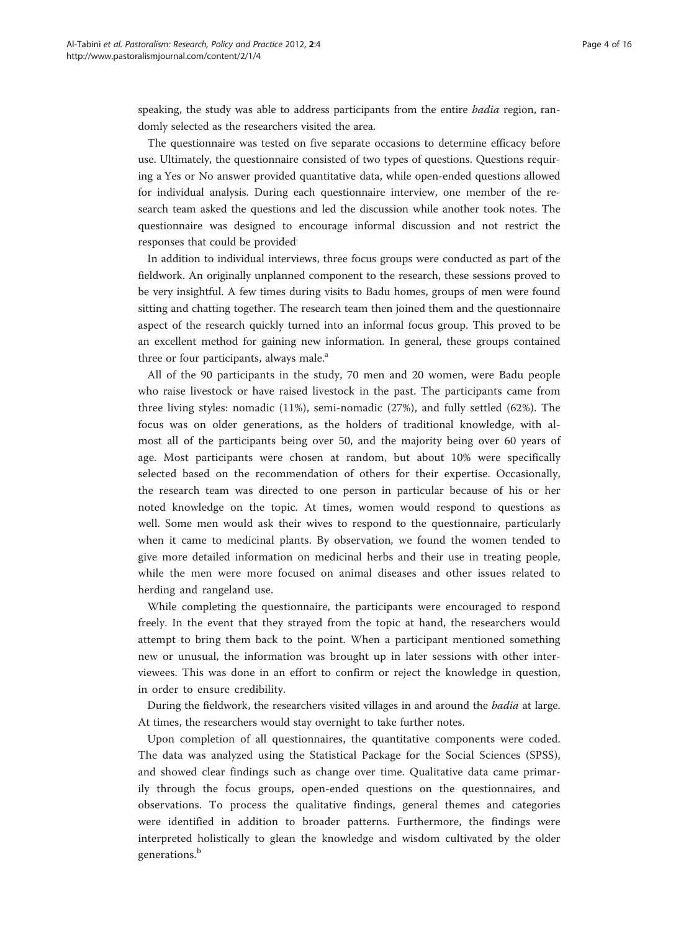speaking, the study was able to address participants from the entire *badia* region, randomly selected as the researchers visited the area.

The questionnaire was tested on five separate occasions to determine efficacy before use. Ultimately, the questionnaire consisted of two types of questions. Questions requiring a Yes or No answer provided quantitative data, while open-ended questions allowed for individual analysis. During each questionnaire interview, one member of the research team asked the questions and led the discussion while another took notes. The questionnaire was designed to encourage informal discussion and not restrict the responses that could be provided.

In addition to individual interviews, three focus groups were conducted as part of the fieldwork. An originally unplanned component to the research, these sessions proved to be very insightful. A few times during visits to Badu homes, groups of men were found sitting and chatting together. The research team then joined them and the questionnaire aspect of the research quickly turned into an informal focus group. This proved to be an excellent method for gaining new information. In general, these groups contained three or four participants, always male.<sup>a</sup>

All of the 90 participants in the study, 70 men and 20 women, were Badu people who raise livestock or have raised livestock in the past. The participants came from three living styles: nomadic (11%), semi-nomadic (27%), and fully settled (62%). The focus was on older generations, as the holders of traditional knowledge, with almost all of the participants being over 50, and the majority being over 60 years of age. Most participants were chosen at random, but about 10% were specifically selected based on the recommendation of others for their expertise. Occasionally, the research team was directed to one person in particular because of his or her noted knowledge on the topic. At times, women would respond to questions as well. Some men would ask their wives to respond to the questionnaire, particularly when it came to medicinal plants. By observation, we found the women tended to give more detailed information on medicinal herbs and their use in treating people, while the men were more focused on animal diseases and other issues related to herding and rangeland use.

While completing the questionnaire, the participants were encouraged to respond freely. In the event that they strayed from the topic at hand, the researchers would attempt to bring them back to the point. When a participant mentioned something new or unusual, the information was brought up in later sessions with other interviewees. This was done in an effort to confirm or reject the knowledge in question, in order to ensure credibility.

During the fieldwork, the researchers visited villages in and around the badia at large. At times, the researchers would stay overnight to take further notes.

Upon completion of all questionnaires, the quantitative components were coded. The data was analyzed using the Statistical Package for the Social Sciences (SPSS), and showed clear findings such as change over time. Qualitative data came primarily through the focus groups, open-ended questions on the questionnaires, and observations. To process the qualitative findings, general themes and categories were identified in addition to broader patterns. Furthermore, the findings were interpreted holistically to glean the knowledge and wisdom cultivated by the older generations.<sup>b</sup>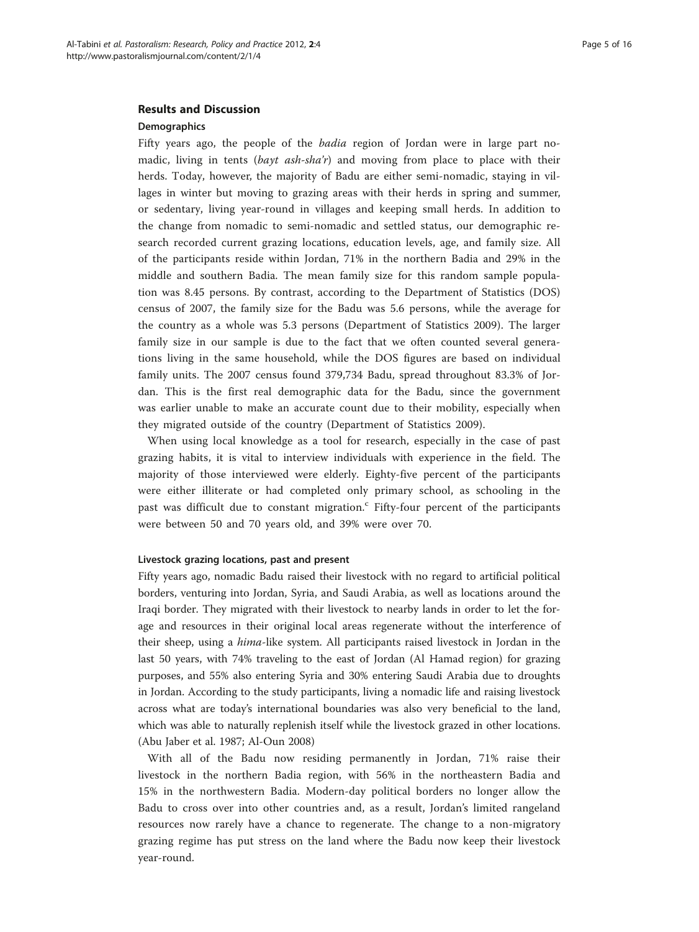## Results and Discussion

#### Demographics

Fifty years ago, the people of the badia region of Jordan were in large part nomadic, living in tents  $(bayt \;ash sha')$  and moving from place to place with their herds. Today, however, the majority of Badu are either semi-nomadic, staying in villages in winter but moving to grazing areas with their herds in spring and summer, or sedentary, living year-round in villages and keeping small herds. In addition to the change from nomadic to semi-nomadic and settled status, our demographic research recorded current grazing locations, education levels, age, and family size. All of the participants reside within Jordan, 71% in the northern Badia and 29% in the middle and southern Badia. The mean family size for this random sample population was 8.45 persons. By contrast, according to the Department of Statistics (DOS) census of 2007, the family size for the Badu was 5.6 persons, while the average for the country as a whole was 5.3 persons (Department of Statistics [2009\)](#page-15-0). The larger family size in our sample is due to the fact that we often counted several generations living in the same household, while the DOS figures are based on individual family units. The 2007 census found 379,734 Badu, spread throughout 83.3% of Jordan. This is the first real demographic data for the Badu, since the government was earlier unable to make an accurate count due to their mobility, especially when they migrated outside of the country (Department of Statistics [2009](#page-15-0)).

When using local knowledge as a tool for research, especially in the case of past grazing habits, it is vital to interview individuals with experience in the field. The majority of those interviewed were elderly. Eighty-five percent of the participants were either illiterate or had completed only primary school, as schooling in the past was difficult due to constant migration.<sup>c</sup> Fifty-four percent of the participants were between 50 and 70 years old, and 39% were over 70.

### Livestock grazing locations, past and present

Fifty years ago, nomadic Badu raised their livestock with no regard to artificial political borders, venturing into Jordan, Syria, and Saudi Arabia, as well as locations around the Iraqi border. They migrated with their livestock to nearby lands in order to let the forage and resources in their original local areas regenerate without the interference of their sheep, using a hima-like system. All participants raised livestock in Jordan in the last 50 years, with 74% traveling to the east of Jordan (Al Hamad region) for grazing purposes, and 55% also entering Syria and 30% entering Saudi Arabia due to droughts in Jordan. According to the study participants, living a nomadic life and raising livestock across what are today's international boundaries was also very beneficial to the land, which was able to naturally replenish itself while the livestock grazed in other locations. (Abu Jaber et al. [1987](#page-14-0); Al-Oun [2008](#page-14-0))

With all of the Badu now residing permanently in Jordan, 71% raise their livestock in the northern Badia region, with 56% in the northeastern Badia and 15% in the northwestern Badia. Modern-day political borders no longer allow the Badu to cross over into other countries and, as a result, Jordan's limited rangeland resources now rarely have a chance to regenerate. The change to a non-migratory grazing regime has put stress on the land where the Badu now keep their livestock year-round.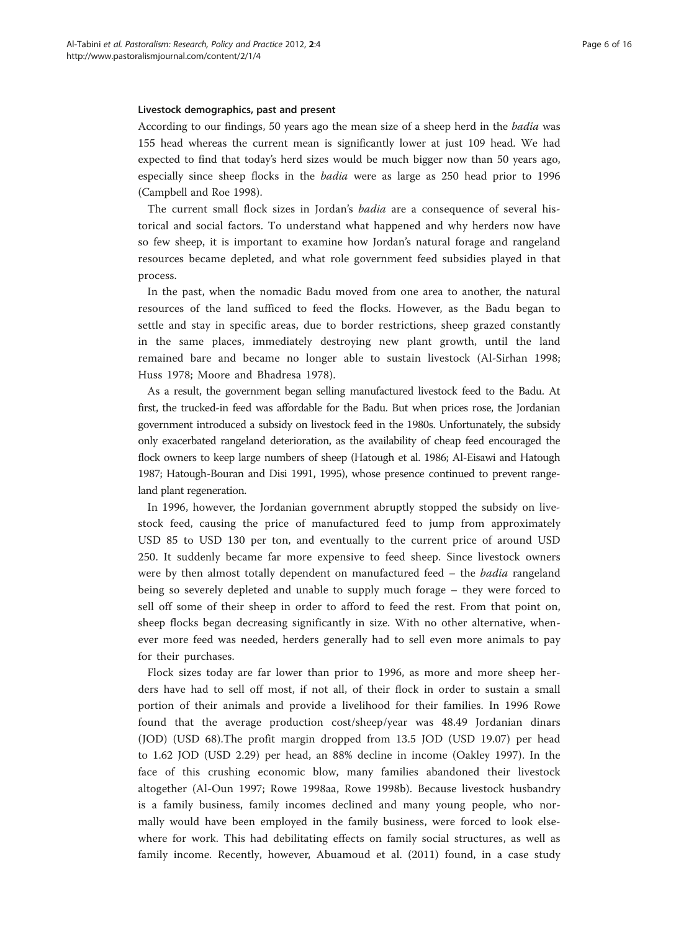#### Livestock demographics, past and present

According to our findings, 50 years ago the mean size of a sheep herd in the badia was 155 head whereas the current mean is significantly lower at just 109 head. We had expected to find that today's herd sizes would be much bigger now than 50 years ago, especially since sheep flocks in the badia were as large as 250 head prior to 1996 (Campbell and Roe [1998](#page-15-0)).

The current small flock sizes in Jordan's badia are a consequence of several historical and social factors. To understand what happened and why herders now have so few sheep, it is important to examine how Jordan's natural forage and rangeland resources became depleted, and what role government feed subsidies played in that process.

In the past, when the nomadic Badu moved from one area to another, the natural resources of the land sufficed to feed the flocks. However, as the Badu began to settle and stay in specific areas, due to border restrictions, sheep grazed constantly in the same places, immediately destroying new plant growth, until the land remained bare and became no longer able to sustain livestock (Al-Sirhan [1998](#page-14-0); Huss [1978](#page-15-0); Moore and Bhadresa [1978\)](#page-15-0).

As a result, the government began selling manufactured livestock feed to the Badu. At first, the trucked-in feed was affordable for the Badu. But when prices rose, the Jordanian government introduced a subsidy on livestock feed in the 1980s. Unfortunately, the subsidy only exacerbated rangeland deterioration, as the availability of cheap feed encouraged the flock owners to keep large numbers of sheep (Hatough et al. [1986](#page-15-0); Al-Eisawi and Hatough [1987](#page-14-0); Hatough-Bouran and Disi [1991, 1995](#page-15-0)), whose presence continued to prevent rangeland plant regeneration.

In 1996, however, the Jordanian government abruptly stopped the subsidy on livestock feed, causing the price of manufactured feed to jump from approximately USD 85 to USD 130 per ton, and eventually to the current price of around USD 250. It suddenly became far more expensive to feed sheep. Since livestock owners were by then almost totally dependent on manufactured feed – the *badia* rangeland being so severely depleted and unable to supply much forage – they were forced to sell off some of their sheep in order to afford to feed the rest. From that point on, sheep flocks began decreasing significantly in size. With no other alternative, whenever more feed was needed, herders generally had to sell even more animals to pay for their purchases.

Flock sizes today are far lower than prior to 1996, as more and more sheep herders have had to sell off most, if not all, of their flock in order to sustain a small portion of their animals and provide a livelihood for their families. In 1996 Rowe found that the average production cost/sheep/year was 48.49 Jordanian dinars (JOD) (USD 68).The profit margin dropped from 13.5 JOD (USD 19.07) per head to 1.62 JOD (USD 2.29) per head, an 88% decline in income (Oakley [1997\)](#page-15-0). In the face of this crushing economic blow, many families abandoned their livestock altogether (Al-Oun [1997;](#page-14-0) Rowe [1998a](#page-15-0)a, Rowe [1998b\)](#page-15-0). Because livestock husbandry is a family business, family incomes declined and many young people, who normally would have been employed in the family business, were forced to look elsewhere for work. This had debilitating effects on family social structures, as well as family income. Recently, however, Abuamoud et al. ([2011\)](#page-14-0) found, in a case study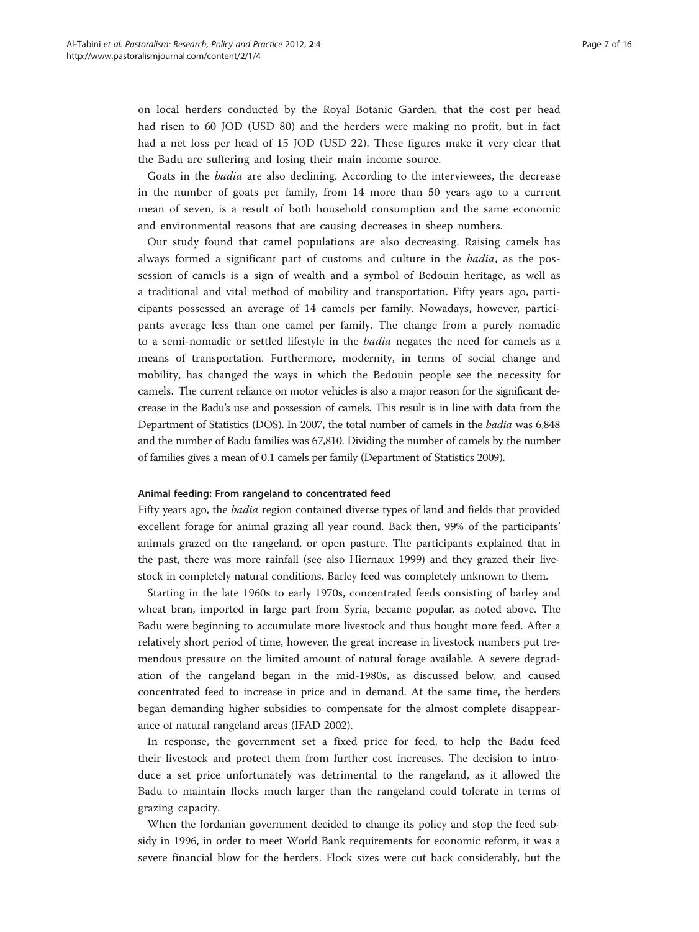on local herders conducted by the Royal Botanic Garden, that the cost per head had risen to 60 JOD (USD 80) and the herders were making no profit, but in fact had a net loss per head of 15 JOD (USD 22). These figures make it very clear that the Badu are suffering and losing their main income source.

Goats in the *badia* are also declining. According to the interviewees, the decrease in the number of goats per family, from 14 more than 50 years ago to a current mean of seven, is a result of both household consumption and the same economic and environmental reasons that are causing decreases in sheep numbers.

Our study found that camel populations are also decreasing. Raising camels has always formed a significant part of customs and culture in the badia, as the possession of camels is a sign of wealth and a symbol of Bedouin heritage, as well as a traditional and vital method of mobility and transportation. Fifty years ago, participants possessed an average of 14 camels per family. Nowadays, however, participants average less than one camel per family. The change from a purely nomadic to a semi-nomadic or settled lifestyle in the badia negates the need for camels as a means of transportation. Furthermore, modernity, in terms of social change and mobility, has changed the ways in which the Bedouin people see the necessity for camels. The current reliance on motor vehicles is also a major reason for the significant decrease in the Badu's use and possession of camels. This result is in line with data from the Department of Statistics (DOS). In 2007, the total number of camels in the badia was 6,848 and the number of Badu families was 67,810. Dividing the number of camels by the number of families gives a mean of 0.1 camels per family (Department of Statistics [2009](#page-15-0)).

### Animal feeding: From rangeland to concentrated feed

Fifty years ago, the badia region contained diverse types of land and fields that provided excellent forage for animal grazing all year round. Back then, 99% of the participants' animals grazed on the rangeland, or open pasture. The participants explained that in the past, there was more rainfall (see also Hiernaux [1999](#page-15-0)) and they grazed their livestock in completely natural conditions. Barley feed was completely unknown to them.

Starting in the late 1960s to early 1970s, concentrated feeds consisting of barley and wheat bran, imported in large part from Syria, became popular, as noted above. The Badu were beginning to accumulate more livestock and thus bought more feed. After a relatively short period of time, however, the great increase in livestock numbers put tremendous pressure on the limited amount of natural forage available. A severe degradation of the rangeland began in the mid-1980s, as discussed below, and caused concentrated feed to increase in price and in demand. At the same time, the herders began demanding higher subsidies to compensate for the almost complete disappearance of natural rangeland areas (IFAD [2002\)](#page-15-0).

In response, the government set a fixed price for feed, to help the Badu feed their livestock and protect them from further cost increases. The decision to introduce a set price unfortunately was detrimental to the rangeland, as it allowed the Badu to maintain flocks much larger than the rangeland could tolerate in terms of grazing capacity.

When the Jordanian government decided to change its policy and stop the feed subsidy in 1996, in order to meet World Bank requirements for economic reform, it was a severe financial blow for the herders. Flock sizes were cut back considerably, but the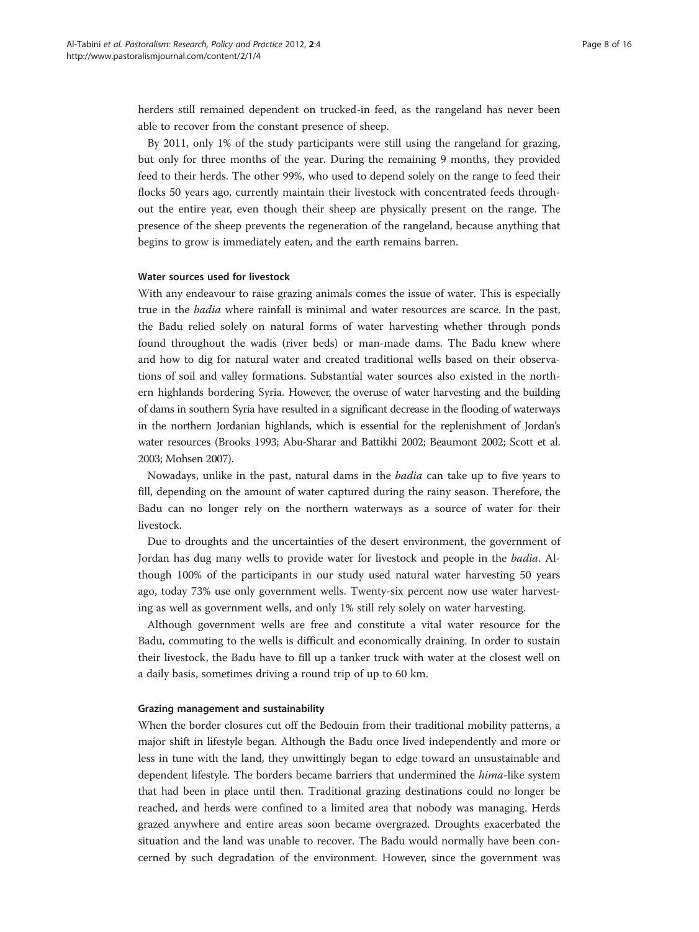herders still remained dependent on trucked-in feed, as the rangeland has never been able to recover from the constant presence of sheep.

By 2011, only 1% of the study participants were still using the rangeland for grazing, but only for three months of the year. During the remaining 9 months, they provided feed to their herds. The other 99%, who used to depend solely on the range to feed their flocks 50 years ago, currently maintain their livestock with concentrated feeds throughout the entire year, even though their sheep are physically present on the range. The presence of the sheep prevents the regeneration of the rangeland, because anything that begins to grow is immediately eaten, and the earth remains barren.

#### Water sources used for livestock

With any endeavour to raise grazing animals comes the issue of water. This is especially true in the badia where rainfall is minimal and water resources are scarce. In the past, the Badu relied solely on natural forms of water harvesting whether through ponds found throughout the wadis (river beds) or man-made dams. The Badu knew where and how to dig for natural water and created traditional wells based on their observations of soil and valley formations. Substantial water sources also existed in the northern highlands bordering Syria. However, the overuse of water harvesting and the building of dams in southern Syria have resulted in a significant decrease in the flooding of waterways in the northern Jordanian highlands, which is essential for the replenishment of Jordan's water resources (Brooks [1993;](#page-15-0) Abu-Sharar and Battikhi [2002;](#page-14-0) Beaumont [2002;](#page-15-0) Scott et al. [2003](#page-15-0); Mohsen [2007](#page-15-0)).

Nowadays, unlike in the past, natural dams in the badia can take up to five years to fill, depending on the amount of water captured during the rainy season. Therefore, the Badu can no longer rely on the northern waterways as a source of water for their livestock.

Due to droughts and the uncertainties of the desert environment, the government of Jordan has dug many wells to provide water for livestock and people in the badia. Although 100% of the participants in our study used natural water harvesting 50 years ago, today 73% use only government wells. Twenty-six percent now use water harvesting as well as government wells, and only 1% still rely solely on water harvesting.

Although government wells are free and constitute a vital water resource for the Badu, commuting to the wells is difficult and economically draining. In order to sustain their livestock, the Badu have to fill up a tanker truck with water at the closest well on a daily basis, sometimes driving a round trip of up to 60 km.

#### Grazing management and sustainability

When the border closures cut off the Bedouin from their traditional mobility patterns, a major shift in lifestyle began. Although the Badu once lived independently and more or less in tune with the land, they unwittingly began to edge toward an unsustainable and dependent lifestyle. The borders became barriers that undermined the hima-like system that had been in place until then. Traditional grazing destinations could no longer be reached, and herds were confined to a limited area that nobody was managing. Herds grazed anywhere and entire areas soon became overgrazed. Droughts exacerbated the situation and the land was unable to recover. The Badu would normally have been concerned by such degradation of the environment. However, since the government was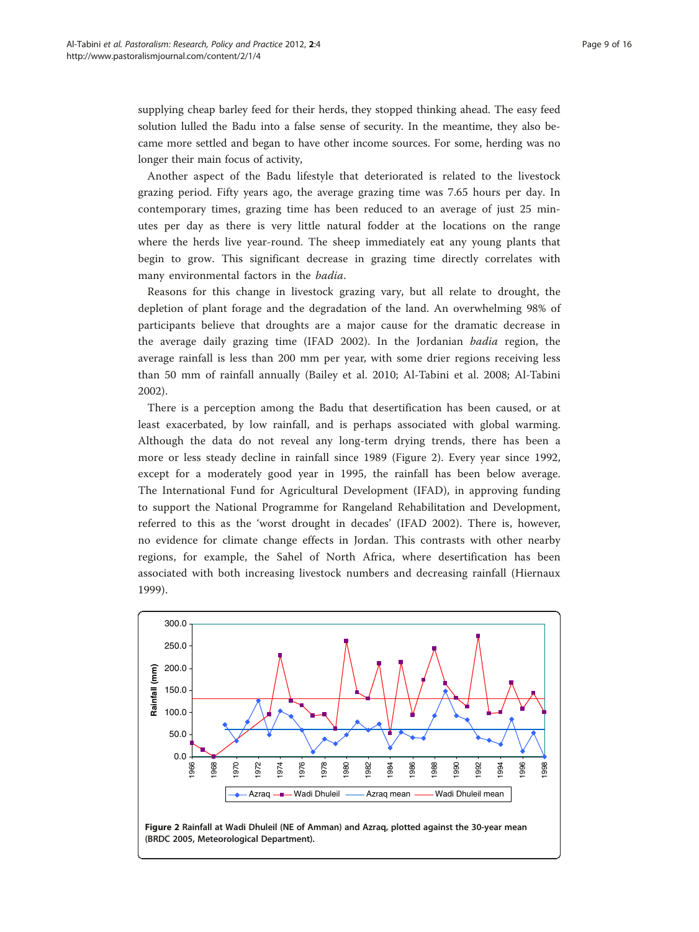supplying cheap barley feed for their herds, they stopped thinking ahead. The easy feed solution lulled the Badu into a false sense of security. In the meantime, they also became more settled and began to have other income sources. For some, herding was no longer their main focus of activity,

Another aspect of the Badu lifestyle that deteriorated is related to the livestock grazing period. Fifty years ago, the average grazing time was 7.65 hours per day. In contemporary times, grazing time has been reduced to an average of just 25 minutes per day as there is very little natural fodder at the locations on the range where the herds live year-round. The sheep immediately eat any young plants that begin to grow. This significant decrease in grazing time directly correlates with many environmental factors in the badia.

Reasons for this change in livestock grazing vary, but all relate to drought, the depletion of plant forage and the degradation of the land. An overwhelming 98% of participants believe that droughts are a major cause for the dramatic decrease in the average daily grazing time (IFAD [2002](#page-15-0)). In the Jordanian badia region, the average rainfall is less than 200 mm per year, with some drier regions receiving less than 50 mm of rainfall annually (Bailey et al. [2010](#page-15-0); Al-Tabini et al. [2008](#page-14-0); Al-Tabini [2002\)](#page-15-0).

There is a perception among the Badu that desertification has been caused, or at least exacerbated, by low rainfall, and is perhaps associated with global warming. Although the data do not reveal any long-term drying trends, there has been a more or less steady decline in rainfall since 1989 (Figure 2). Every year since 1992, except for a moderately good year in 1995, the rainfall has been below average. The International Fund for Agricultural Development (IFAD), in approving funding to support the National Programme for Rangeland Rehabilitation and Development, referred to this as the 'worst drought in decades' (IFAD [2002](#page-15-0)). There is, however, no evidence for climate change effects in Jordan. This contrasts with other nearby regions, for example, the Sahel of North Africa, where desertification has been associated with both increasing livestock numbers and decreasing rainfall (Hiernaux [1999\)](#page-15-0).

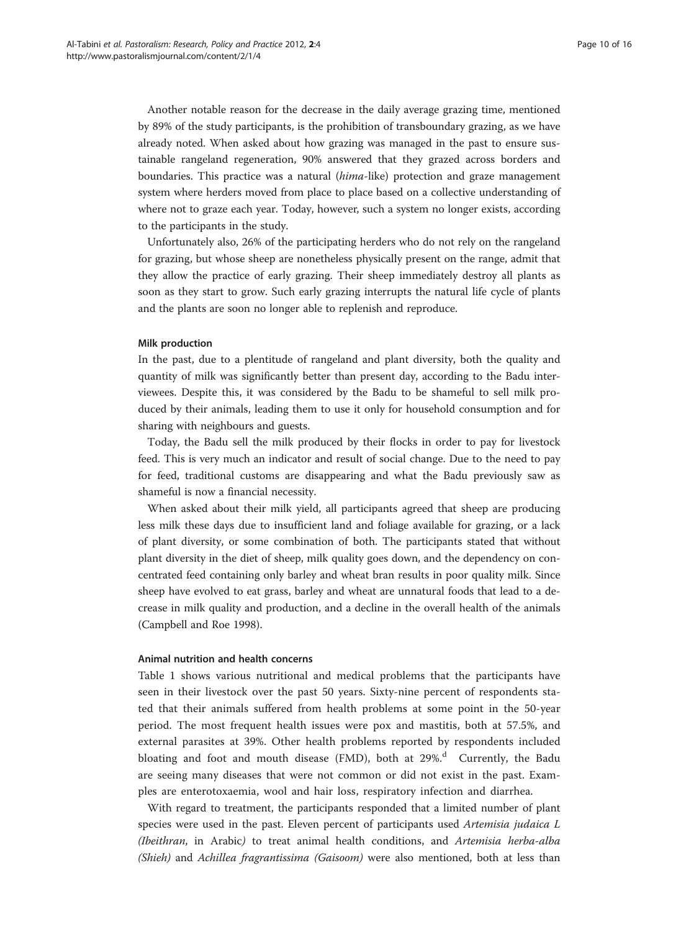Another notable reason for the decrease in the daily average grazing time, mentioned by 89% of the study participants, is the prohibition of transboundary grazing, as we have already noted. When asked about how grazing was managed in the past to ensure sustainable rangeland regeneration, 90% answered that they grazed across borders and boundaries. This practice was a natural (hima-like) protection and graze management system where herders moved from place to place based on a collective understanding of where not to graze each year. Today, however, such a system no longer exists, according to the participants in the study.

Unfortunately also, 26% of the participating herders who do not rely on the rangeland for grazing, but whose sheep are nonetheless physically present on the range, admit that they allow the practice of early grazing. Their sheep immediately destroy all plants as soon as they start to grow. Such early grazing interrupts the natural life cycle of plants and the plants are soon no longer able to replenish and reproduce.

## Milk production

In the past, due to a plentitude of rangeland and plant diversity, both the quality and quantity of milk was significantly better than present day, according to the Badu interviewees. Despite this, it was considered by the Badu to be shameful to sell milk produced by their animals, leading them to use it only for household consumption and for sharing with neighbours and guests.

Today, the Badu sell the milk produced by their flocks in order to pay for livestock feed. This is very much an indicator and result of social change. Due to the need to pay for feed, traditional customs are disappearing and what the Badu previously saw as shameful is now a financial necessity.

When asked about their milk yield, all participants agreed that sheep are producing less milk these days due to insufficient land and foliage available for grazing, or a lack of plant diversity, or some combination of both. The participants stated that without plant diversity in the diet of sheep, milk quality goes down, and the dependency on concentrated feed containing only barley and wheat bran results in poor quality milk. Since sheep have evolved to eat grass, barley and wheat are unnatural foods that lead to a decrease in milk quality and production, and a decline in the overall health of the animals (Campbell and Roe [1998](#page-15-0)).

#### Animal nutrition and health concerns

Table [1](#page-10-0) shows various nutritional and medical problems that the participants have seen in their livestock over the past 50 years. Sixty-nine percent of respondents stated that their animals suffered from health problems at some point in the 50-year period. The most frequent health issues were pox and mastitis, both at 57.5%, and external parasites at 39%. Other health problems reported by respondents included bloating and foot and mouth disease (FMD), both at  $29\%$ .<sup>d</sup> Currently, the Badu are seeing many diseases that were not common or did not exist in the past. Examples are enterotoxaemia, wool and hair loss, respiratory infection and diarrhea.

With regard to treatment, the participants responded that a limited number of plant species were used in the past. Eleven percent of participants used Artemisia judaica L (Ibeithran, in Arabic) to treat animal health conditions, and Artemisia herba-alba (Shieh) and Achillea fragrantissima (Gaisoom) were also mentioned, both at less than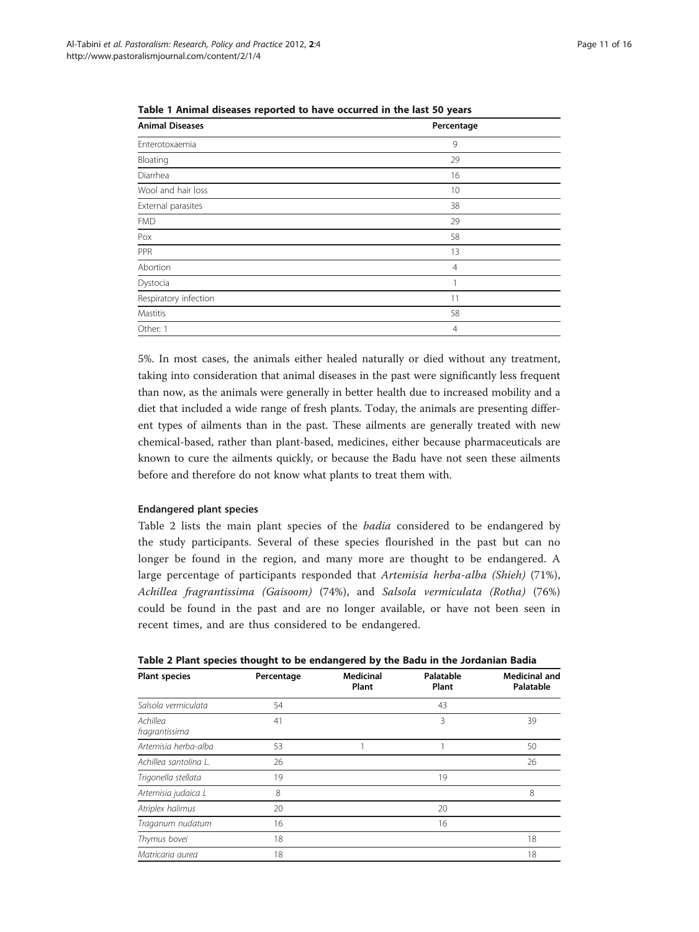| <b>Animal Diseases</b> | Percentage     |  |  |  |  |
|------------------------|----------------|--|--|--|--|
| Enterotoxaemia         | 9              |  |  |  |  |
| Bloating               | 29             |  |  |  |  |
| Diarrhea               | 16             |  |  |  |  |
| Wool and hair loss     | 10             |  |  |  |  |
| External parasites     | 38             |  |  |  |  |
| <b>FMD</b>             | 29             |  |  |  |  |
| Pox                    | 58             |  |  |  |  |
| PPR                    | 13             |  |  |  |  |
| Abortion               | $\overline{4}$ |  |  |  |  |
| Dystocia               | ٠              |  |  |  |  |
| Respiratory infection  | 11             |  |  |  |  |
| Mastitis               | 58             |  |  |  |  |
| Other: 1               | $\overline{4}$ |  |  |  |  |

<span id="page-10-0"></span>Table 1 Animal diseases reported to have occurred in the last 50 years

5%. In most cases, the animals either healed naturally or died without any treatment, taking into consideration that animal diseases in the past were significantly less frequent than now, as the animals were generally in better health due to increased mobility and a diet that included a wide range of fresh plants. Today, the animals are presenting different types of ailments than in the past. These ailments are generally treated with new chemical-based, rather than plant-based, medicines, either because pharmaceuticals are known to cure the ailments quickly, or because the Badu have not seen these ailments before and therefore do not know what plants to treat them with.

## Endangered plant species

Table 2 lists the main plant species of the *badia* considered to be endangered by the study participants. Several of these species flourished in the past but can no longer be found in the region, and many more are thought to be endangered. A large percentage of participants responded that Artemisia herba-alba (Shieh) (71%), Achillea fragrantissima (Gaisoom) (74%), and Salsola vermiculata (Rotha) (76%) could be found in the past and are no longer available, or have not been seen in recent times, and are thus considered to be endangered.

| <b>Plant species</b>       | Percentage | <b>Medicinal</b><br>Plant | Palatable<br>Plant | Medicinal and<br>Palatable |
|----------------------------|------------|---------------------------|--------------------|----------------------------|
| Salsola vermiculata        | 54         |                           | 43                 |                            |
| Achillea<br>fragrantissima | 41         |                           | 3                  | 39                         |
| Artemisia herba-alba       | 53         |                           |                    | 50                         |
| Achillea santolina L.      | 26         |                           |                    | 26                         |
| Trigonella stellata        | 19         |                           | 19                 |                            |
| Artemisia judaica L        | 8          |                           |                    | 8                          |
| Atriplex halimus           | 20         |                           | 20                 |                            |
| Traganum nudatum           | 16         |                           | 16                 |                            |
| Thymus bovei               | 18         |                           |                    | 18                         |
| Matricaria aurea           | 18         |                           |                    | 18                         |

Table 2 Plant species thought to be endangered by the Badu in the Jordanian Badia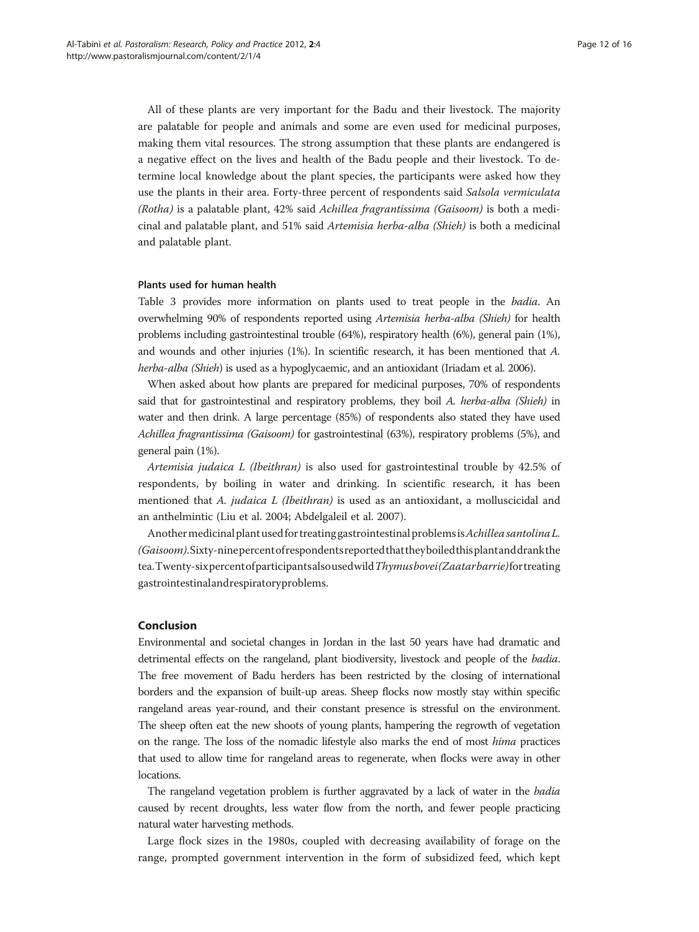All of these plants are very important for the Badu and their livestock. The majority are palatable for people and animals and some are even used for medicinal purposes, making them vital resources. The strong assumption that these plants are endangered is a negative effect on the lives and health of the Badu people and their livestock. To determine local knowledge about the plant species, the participants were asked how they use the plants in their area. Forty-three percent of respondents said Salsola vermiculata (Rotha) is a palatable plant, 42% said Achillea fragrantissima (Gaisoom) is both a medicinal and palatable plant, and 51% said Artemisia herba-alba (Shieh) is both a medicinal and palatable plant.

## Plants used for human health

Table [3](#page-12-0) provides more information on plants used to treat people in the badia. An overwhelming 90% of respondents reported using Artemisia herba-alba (Shieh) for health problems including gastrointestinal trouble (64%), respiratory health (6%), general pain (1%), and wounds and other injuries (1%). In scientific research, it has been mentioned that A. herba-alba (Shieh) is used as a hypoglycaemic, and an antioxidant (Iriadam et al. [2006\)](#page-15-0).

When asked about how plants are prepared for medicinal purposes, 70% of respondents said that for gastrointestinal and respiratory problems, they boil A. herba-alba (Shieh) in water and then drink. A large percentage (85%) of respondents also stated they have used Achillea fragrantissima (Gaisoom) for gastrointestinal (63%), respiratory problems (5%), and general pain (1%).

Artemisia judaica L (Ibeithran) is also used for gastrointestinal trouble by 42.5% of respondents, by boiling in water and drinking. In scientific research, it has been mentioned that A. judaica L (Ibeithran) is used as an antioxidant, a molluscicidal and an anthelmintic (Liu et al. [2004;](#page-15-0) Abdelgaleil et al. [2007\)](#page-14-0).

Another medicinal plant used for treating gastrointestinal problems is Achillea santolina L. (Gaisoom).Sixty-ninepercentofrespondentsreportedthattheyboiledthisplantanddrankthe tea.Twenty-sixpercentofparticipantsalsousedwildThymusbovei(Zaatarbarrie)fortreating gastrointestinalandrespiratoryproblems.

## Conclusion

Environmental and societal changes in Jordan in the last 50 years have had dramatic and detrimental effects on the rangeland, plant biodiversity, livestock and people of the badia. The free movement of Badu herders has been restricted by the closing of international borders and the expansion of built-up areas. Sheep flocks now mostly stay within specific rangeland areas year-round, and their constant presence is stressful on the environment. The sheep often eat the new shoots of young plants, hampering the regrowth of vegetation on the range. The loss of the nomadic lifestyle also marks the end of most hima practices that used to allow time for rangeland areas to regenerate, when flocks were away in other locations.

The rangeland vegetation problem is further aggravated by a lack of water in the *badia* caused by recent droughts, less water flow from the north, and fewer people practicing natural water harvesting methods.

Large flock sizes in the 1980s, coupled with decreasing availability of forage on the range, prompted government intervention in the form of subsidized feed, which kept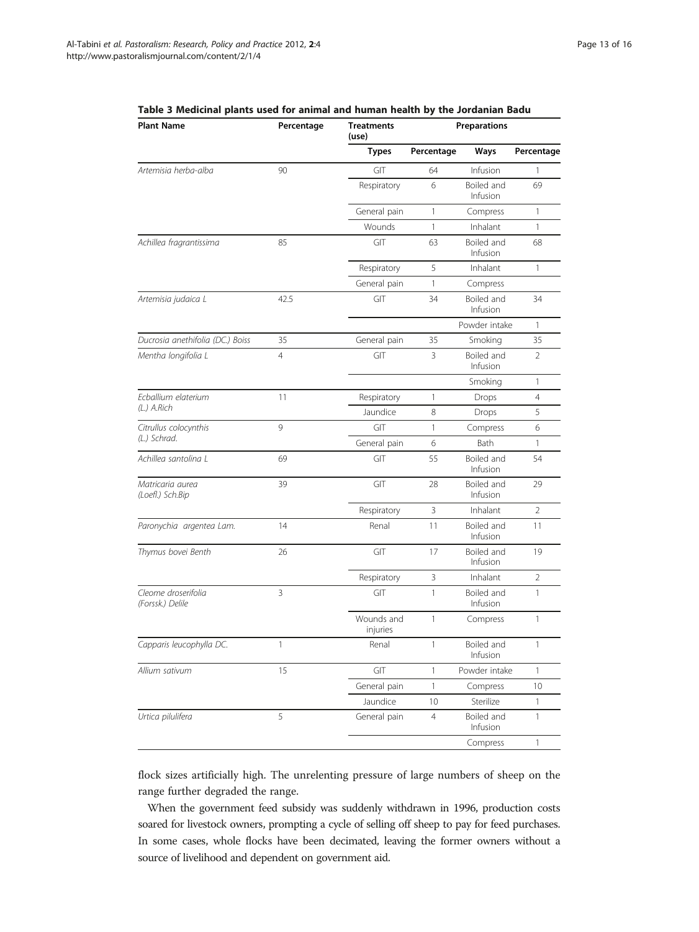| <b>Plant Name</b>                       | Percentage     | <b>Treatments</b><br>(use) | <b>Preparations</b> |                               |                |
|-----------------------------------------|----------------|----------------------------|---------------------|-------------------------------|----------------|
|                                         |                | <b>Types</b>               | Percentage          | Ways                          | Percentage     |
| Artemisia herba-alba                    | 90             | GIT                        | 64                  | Infusion                      | 1              |
|                                         |                | Respiratory                | 6                   | Boiled and<br>Infusion        | 69             |
|                                         |                | General pain               | 1                   | Compress                      | $\mathbf{1}$   |
|                                         |                | Wounds                     | $\mathbf{1}$        | Inhalant                      | $\mathbf{1}$   |
| Achillea fragrantissima                 | 85             | GIT                        | 63                  | <b>Boiled and</b><br>Infusion | 68             |
|                                         |                | Respiratory                | 5                   | Inhalant                      | $\mathbf{1}$   |
|                                         |                | General pain               | $\mathbf{1}$        | Compress                      |                |
| Artemisia judaica L                     | 42.5           | GIT                        | 34                  | Boiled and<br>Infusion        | 34             |
|                                         |                |                            |                     | Powder intake                 | $\mathbf{1}$   |
| Ducrosia anethifolia (DC.) Boiss        | 35             | General pain               | 35                  | Smoking                       | 35             |
| Mentha longifolia L                     | $\overline{4}$ | GIT                        | 3                   | Boiled and<br>Infusion        | $\overline{2}$ |
|                                         |                |                            |                     | Smoking                       | 1              |
| Ecballium elaterium                     | 11             | Respiratory                | $\mathbf{1}$        | Drops                         | $\overline{4}$ |
| (L.) A.Rich                             |                | Jaundice                   | 8                   | Drops                         | 5              |
| Citrullus colocynthis<br>(L.) Schrad.   | 9              | GIT                        | $\mathbf{1}$        | Compress                      | 6              |
|                                         |                | General pain               | 6                   | Bath                          | 1              |
| Achillea santolina L                    | 69             | GIT                        | 55                  | Boiled and<br>Infusion        | 54             |
| Matricaria aurea<br>(Loefl.) Sch.Bip    | 39             | GIT                        | 28                  | Boiled and<br>Infusion        | 29             |
|                                         |                | Respiratory                | 3                   | Inhalant                      | $\overline{2}$ |
| Paronychia argentea Lam.                | 14             | Renal                      | 11                  | Boiled and<br>Infusion        | 11             |
| Thymus bovei Benth                      | 26             | GIT                        | 17                  | Boiled and<br>Infusion        | 19             |
|                                         |                | Respiratory                | 3                   | Inhalant                      | $\overline{2}$ |
| Cleome droserifolia<br>(Forssk.) Delile | 3              | GIT                        | 1                   | Boiled and<br>Infusion        | 1              |
|                                         |                | Wounds and<br>injuries     | 1                   | Compress                      | $\mathbf{1}$   |
| Capparis leucophylla DC.                | $\mathbf{1}$   | Renal                      | 1                   | Boiled and<br>Infusion        | $\mathbf{1}$   |
| Allium sativum                          | 15             | GIT                        | 1                   | Powder intake                 | 1              |
|                                         |                | General pain               | 1                   | Compress                      | 10             |
|                                         |                | Jaundice                   | 10                  | Sterilize                     | $\mathbf{1}$   |
| Urtica pilulifera                       | 5              | General pain               | $\overline{4}$      | Boiled and<br>Infusion        | 1              |
|                                         |                |                            |                     | Compress                      | $\mathbf{1}$   |

## <span id="page-12-0"></span>Table 3 Medicinal plants used for animal and human health by the Jordanian Badu

flock sizes artificially high. The unrelenting pressure of large numbers of sheep on the range further degraded the range.

When the government feed subsidy was suddenly withdrawn in 1996, production costs soared for livestock owners, prompting a cycle of selling off sheep to pay for feed purchases. In some cases, whole flocks have been decimated, leaving the former owners without a source of livelihood and dependent on government aid.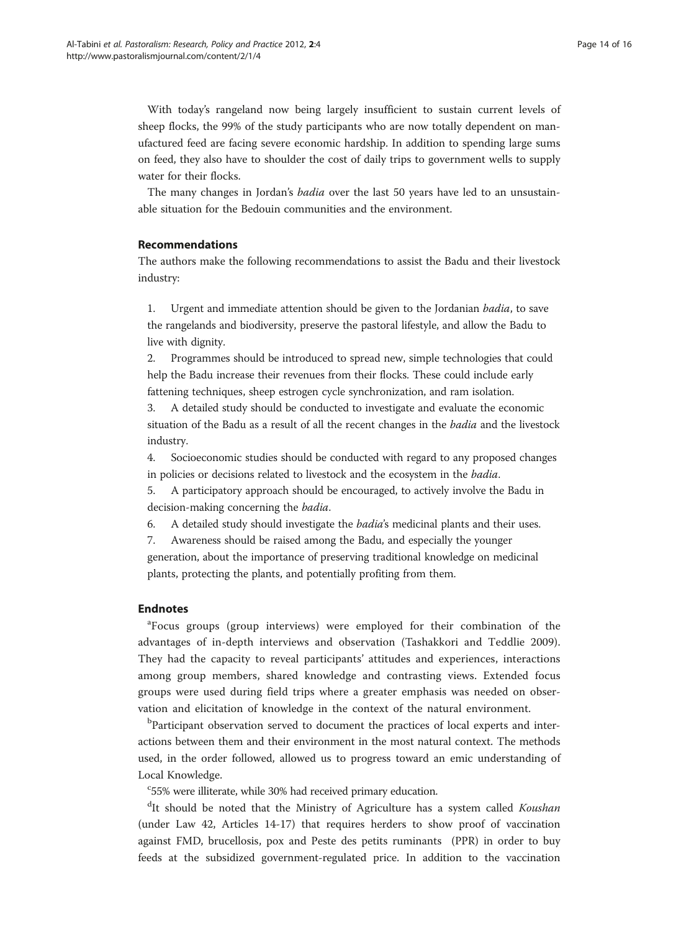With today's rangeland now being largely insufficient to sustain current levels of sheep flocks, the 99% of the study participants who are now totally dependent on manufactured feed are facing severe economic hardship. In addition to spending large sums on feed, they also have to shoulder the cost of daily trips to government wells to supply water for their flocks.

The many changes in Jordan's *badia* over the last 50 years have led to an unsustainable situation for the Bedouin communities and the environment.

#### Recommendations

The authors make the following recommendations to assist the Badu and their livestock industry:

1. Urgent and immediate attention should be given to the Jordanian badia, to save the rangelands and biodiversity, preserve the pastoral lifestyle, and allow the Badu to live with dignity.

2. Programmes should be introduced to spread new, simple technologies that could help the Badu increase their revenues from their flocks. These could include early fattening techniques, sheep estrogen cycle synchronization, and ram isolation.

3. A detailed study should be conducted to investigate and evaluate the economic situation of the Badu as a result of all the recent changes in the *badia* and the livestock industry.

4. Socioeconomic studies should be conducted with regard to any proposed changes in policies or decisions related to livestock and the ecosystem in the badia.

5. A participatory approach should be encouraged, to actively involve the Badu in decision-making concerning the badia.

6. A detailed study should investigate the badia's medicinal plants and their uses.

7. Awareness should be raised among the Badu, and especially the younger

generation, about the importance of preserving traditional knowledge on medicinal plants, protecting the plants, and potentially profiting from them.

## Endnotes

<sup>a</sup>Focus groups (group interviews) were employed for their combination of the advantages of in-depth interviews and observation (Tashakkori and Teddlie 2009). They had the capacity to reveal participants' attitudes and experiences, interactions among group members, shared knowledge and contrasting views. Extended focus groups were used during field trips where a greater emphasis was needed on observation and elicitation of knowledge in the context of the natural environment.

<sup>b</sup>Participant observation served to document the practices of local experts and interactions between them and their environment in the most natural context. The methods used, in the order followed, allowed us to progress toward an emic understanding of Local Knowledge.

c 55% were illiterate, while 30% had received primary education.

<sup>d</sup>It should be noted that the Ministry of Agriculture has a system called Koushan (under Law 42, Articles 14-17) that requires herders to show proof of vaccination against FMD, brucellosis, pox and Peste des petits ruminants (PPR) in order to buy feeds at the subsidized government-regulated price. In addition to the vaccination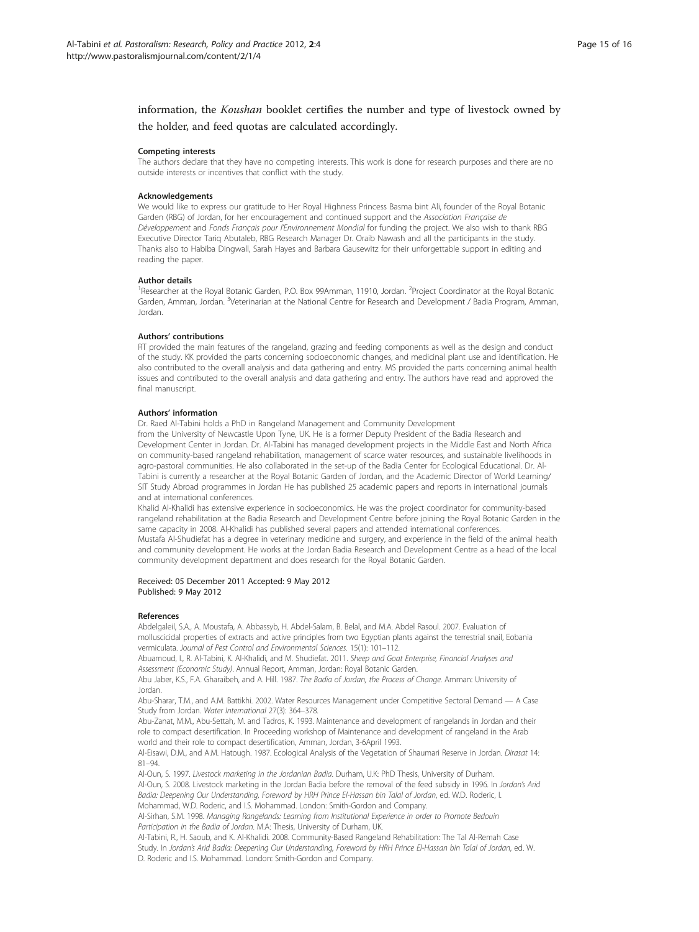# <span id="page-14-0"></span>information, the Koushan booklet certifies the number and type of livestock owned by the holder, and feed quotas are calculated accordingly.

#### Competing interests

The authors declare that they have no competing interests. This work is done for research purposes and there are no outside interests or incentives that conflict with the study.

#### Acknowledgements

We would like to express our gratitude to Her Royal Highness Princess Basma bint Ali, founder of the Royal Botanic Garden (RBG) of Jordan, for her encouragement and continued support and the Association Française de Développement and Fonds Français pour l'Environnement Mondial for funding the project. We also wish to thank RBG Executive Director Tariq Abutaleb, RBG Research Manager Dr. Oraib Nawash and all the participants in the study. Thanks also to Habiba Dingwall, Sarah Hayes and Barbara Gausewitz for their unforgettable support in editing and reading the paper.

#### Author details

<sup>1</sup>Researcher at the Royal Botanic Garden, P.O. Box 99Amman, 11910, Jordan. <sup>2</sup>Project Coordinator at the Royal Botanic Garden, Amman, Jordan. <sup>3</sup>Veterinarian at the National Centre for Research and Development / Badia Program, Amman, Jordan.

#### Authors' contributions

RT provided the main features of the rangeland, grazing and feeding components as well as the design and conduct of the study. KK provided the parts concerning socioeconomic changes, and medicinal plant use and identification. He also contributed to the overall analysis and data gathering and entry. MS provided the parts concerning animal health issues and contributed to the overall analysis and data gathering and entry. The authors have read and approved the final manuscript.

#### Authors' information

Dr. Raed Al-Tabini holds a PhD in Rangeland Management and Community Development

from the University of Newcastle Upon Tyne, UK. He is a former Deputy President of the Badia Research and Development Center in Jordan. Dr. Al-Tabini has managed development projects in the Middle East and North Africa on community-based rangeland rehabilitation, management of scarce water resources, and sustainable livelihoods in agro-pastoral communities. He also collaborated in the set-up of the Badia Center for Ecological Educational. Dr. Al-Tabini is currently a researcher at the Royal Botanic Garden of Jordan, and the Academic Director of World Learning/ SIT Study Abroad programmes in Jordan He has published 25 academic papers and reports in international journals and at international conferences.

Khalid Al-Khalidi has extensive experience in socioeconomics. He was the project coordinator for community-based rangeland rehabilitation at the Badia Research and Development Centre before joining the Royal Botanic Garden in the same capacity in 2008. Al-Khalidi has published several papers and attended international conferences.

Mustafa Al-Shudiefat has a degree in veterinary medicine and surgery, and experience in the field of the animal health and community development. He works at the Jordan Badia Research and Development Centre as a head of the local community development department and does research for the Royal Botanic Garden.

#### Received: 05 December 2011 Accepted: 9 May 2012 Published: 9 May 2012

#### References

Abdelgaleil, S.A., A. Moustafa, A. Abbassyb, H. Abdel-Salam, B. Belal, and M.A. Abdel Rasoul. 2007. Evaluation of molluscicidal properties of extracts and active principles from two Egyptian plants against the terrestrial snail, Eobania vermiculata. Journal of Pest Control and Environmental Sciences. 15(1): 101–112.

Abuamoud, I., R. Al-Tabini, K. Al-Khalidi, and M. Shudiefat. 2011. Sheep and Goat Enterprise, Financial Analyses and Assessment (Economic Study). Annual Report, Amman, Jordan: Royal Botanic Garden.

Abu Jaber, K.S., F.A. Gharaibeh, and A. Hill. 1987. The Badia of Jordan, the Process of Change. Amman: University of Jordan.

Abu-Sharar, T.M., and A.M. Battikhi. 2002. Water Resources Management under Competitive Sectoral Demand — A Case Study from Jordan. Water International 27(3): 364–378.

Abu-Zanat, M.M., Abu-Settah, M. and Tadros, K. 1993. Maintenance and development of rangelands in Jordan and their role to compact desertification. In Proceeding workshop of Maintenance and development of rangeland in the Arab world and their role to compact desertification, Amman, Jordan, 3-6April 1993.

Al-Eisawi, D.M., and A.M. Hatough. 1987. Ecological Analysis of the Vegetation of Shaumari Reserve in Jordan. Dirasat 14: 81–94.

Al-Oun, S. 1997. Livestock marketing in the Jordanian Badia. Durham, U.K: PhD Thesis, University of Durham.

Al-Oun, S. 2008. Livestock marketing in the Jordan Badia before the removal of the feed subsidy in 1996. In Jordan's Arid Badia: Deepening Our Understanding, Foreword by HRH Prince El-Hassan bin Talal of Jordan, ed. W.D. Roderic, I. Mohammad, W.D. Roderic, and I.S. Mohammad. London: Smith-Gordon and Company.

Al-Sirhan, S.M. 1998. Managing Rangelands: Learning from Institutional Experience in order to Promote Bedouin Participation in the Badia of Jordan. M.A: Thesis, University of Durham, UK.

Al-Tabini, R., H. Saoub, and K. Al-Khalidi. 2008. Community-Based Rangeland Rehabilitation: The Tal Al-Remah Case Study. In Jordan's Arid Badia: Deepening Our Understanding, Foreword by HRH Prince El-Hassan bin Talal of Jordan, ed. W. D. Roderic and I.S. Mohammad. London: Smith-Gordon and Company.